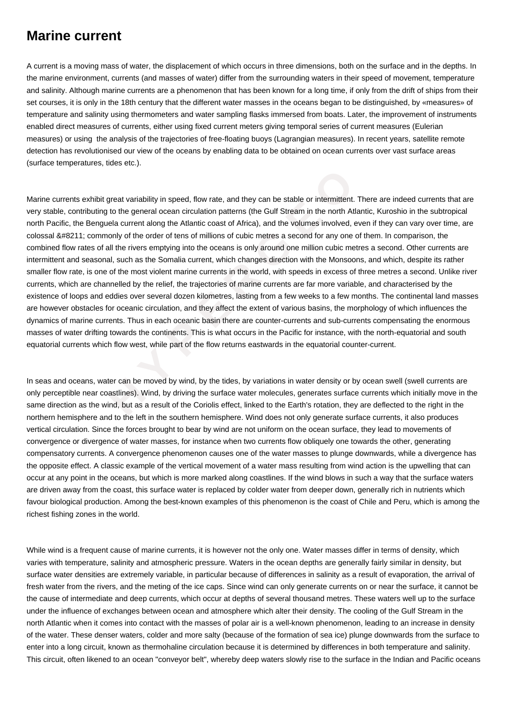## **Marine current**

A current is a moving mass of water, the displacement of which occurs in three dimensions, both on the surface and in the depths. In the marine environment, currents (and masses of water) differ from the surrounding waters in their speed of movement, temperature and salinity. Although marine currents are a phenomenon that has been known for a long time, if only from the drift of ships from their set courses, it is only in the 18th century that the different water masses in the oceans began to be distinguished, by «measures» of temperature and salinity using thermometers and water sampling flasks immersed from boats. Later, the improvement of instruments enabled direct measures of currents, either using fixed current meters giving temporal series of current measures (Eulerian measures) or using the analysis of the trajectories of free-floating buoys (Lagrangian measures). In recent years, satellite remote detection has revolutionised our view of the oceans by enabling data to be obtained on ocean currents over vast surface areas (surface temperatures, tides etc.).

**Example 10** to the general order of the Sculpton Constrate and they can be stable or intermittent. This<br>
bitting to the general ocean circulation patterns (the Gulf Stream in the north Atlant<br>
Benguela current along the A Marine currents exhibit great variability in speed, flow rate, and they can be stable or intermittent. There are indeed currents that are very stable, contributing to the general ocean circulation patterns (the Gulf Stream in the north Atlantic, Kuroshio in the subtropical north Pacific, the Benguela current along the Atlantic coast of Africa), and the volumes involved, even if they can vary over time, are colossal – commonly of the order of tens of millions of cubic metres a second for any one of them. In comparison, the combined flow rates of all the rivers emptying into the oceans is only around one million cubic metres a second. Other currents are intermittent and seasonal, such as the Somalia current, which changes direction with the Monsoons, and which, despite its rather smaller flow rate, is one of the most violent marine currents in the world, with speeds in excess of three metres a second. Unlike river currents, which are channelled by the relief, the trajectories of marine currents are far more variable, and characterised by the existence of loops and eddies over several dozen kilometres, lasting from a few weeks to a few months. The continental land masses are however obstacles for oceanic circulation, and they affect the extent of various basins, the morphology of which influences the dynamics of marine currents. Thus in each oceanic basin there are counter-currents and sub-currents compensating the enormous masses of water drifting towards the continents. This is what occurs in the Pacific for instance, with the north-equatorial and south equatorial currents which flow west, while part of the flow returns eastwards in the equatorial counter-current.

In seas and oceans, water can be moved by wind, by the tides, by variations in water density or by ocean swell (swell currents are only perceptible near coastlines). Wind, by driving the surface water molecules, generates surface currents which initially move in the same direction as the wind, but as a result of the Coriolis effect, linked to the Earth's rotation, they are deflected to the right in the northern hemisphere and to the left in the southern hemisphere. Wind does not only generate surface currents, it also produces vertical circulation. Since the forces brought to bear by wind are not uniform on the ocean surface, they lead to movements of convergence or divergence of water masses, for instance when two currents flow obliquely one towards the other, generating compensatory currents. A convergence phenomenon causes one of the water masses to plunge downwards, while a divergence has the opposite effect. A classic example of the vertical movement of a water mass resulting from wind action is the upwelling that can occur at any point in the oceans, but which is more marked along coastlines. If the wind blows in such a way that the surface waters are driven away from the coast, this surface water is replaced by colder water from deeper down, generally rich in nutrients which favour biological production. Among the best-known examples of this phenomenon is the coast of Chile and Peru, which is among the richest fishing zones in the world.

While wind is a frequent cause of marine currents, it is however not the only one. Water masses differ in terms of density, which varies with temperature, salinity and atmospheric pressure. Waters in the ocean depths are generally fairly similar in density, but surface water densities are extremely variable, in particular because of differences in salinity as a result of evaporation, the arrival of fresh water from the rivers, and the meting of the ice caps. Since wind can only generate currents on or near the surface, it cannot be the cause of intermediate and deep currents, which occur at depths of several thousand metres. These waters well up to the surface under the influence of exchanges between ocean and atmosphere which alter their density. The cooling of the Gulf Stream in the north Atlantic when it comes into contact with the masses of polar air is a well-known phenomenon, leading to an increase in density of the water. These denser waters, colder and more salty (because of the formation of sea ice) plunge downwards from the surface to enter into a long circuit, known as thermohaline circulation because it is determined by differences in both temperature and salinity. This circuit, often likened to an ocean "conveyor belt", whereby deep waters slowly rise to the surface in the Indian and Pacific oceans